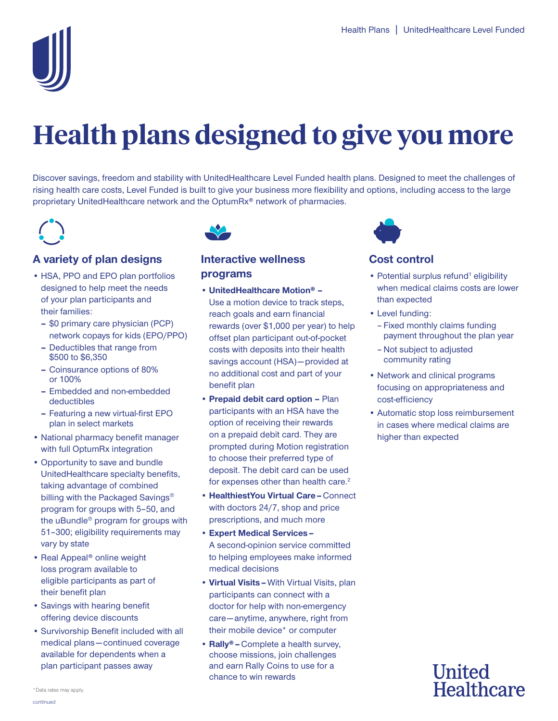

# **Health plans designed to give you more**

Discover savings, freedom and stability with UnitedHealthcare Level Funded health plans. Designed to meet the challenges of rising health care costs, Level Funded is built to give your business more flexibility and options, including access to the large proprietary UnitedHealthcare network and the OptumRx® network of pharmacies.

## **A variety of plan designs**

- HSA, PPO and EPO plan portfolios designed to help meet the needs of your plan participants and their families:
	- **\$0 primary care physician (PCP)** network copays for kids (EPO/PPO)
	- Deductibles that range from \$500 to \$6,350
	- Coinsurance options of 80% or 100%
	- Embedded and non-embedded deductibles
	- Featuring a new virtual-first EPO plan in select markets
- National pharmacy benefit manager with full OptumRx integration
- Opportunity to save and bundle UnitedHealthcare specialty benefits, taking advantage of combined billing with the Packaged Savings<sup>®</sup> program for groups with 5–50, and the uBundle® program for groups with 51–300; eligibility requirements may vary by state
- • Real Appeal® online weight loss program available to eligible participants as part of their benefit plan
- • Savings with hearing benefit offering device discounts
- medical plans continued coverage • Survivorship Benefit included with all available for dependents when a plan participant passes away



## **Interactive wellness programs**

- **UnitedHealthcare Motion®** savings account (HSA) - provided at Use a motion device to track steps, reach goals and earn financial rewards (over \$1,000 per year) to help offset plan participant out-of-pocket costs with deposits into their health no additional cost and part of your benefit plan
- **• Prepaid debit card option –** Plan participants with an HSA have the option of receiving their rewards on a prepaid debit card. They are prompted during Motion registration to choose their preferred type of deposit. The debit card can be used for expenses other than health care. 2
- **HealthiestYou Virtual Care** Connect with doctors 24/7, shop and price prescriptions, and much more
- **Expert Medical Services •** A second-opinion service committed to helping employees make informed medical decisions
- care anytime, anywhere, right from **• Virtual Visits –** With Virtual Visits, plan participants can connect with a doctor for help with non-emergency their mobile device\* or computer
- **Rally®** Complete a health survey, choose missions, join challenges and earn Rally Coins to use for a chance to win rewards



## **Cost control**

- Potential surplus refund<sup>1</sup> eligibility when medical claims costs are lower than expected
- Level funding:
	- Fixed monthly claims funding payment throughout the plan year
	- Not subject to adjusted community rating
- Network and clinical programs focusing on appropriateness and cost-efficiency
- • Automatic stop loss reimbursement in cases where medical claims are higher than expected

## **United Healthcare**

continued